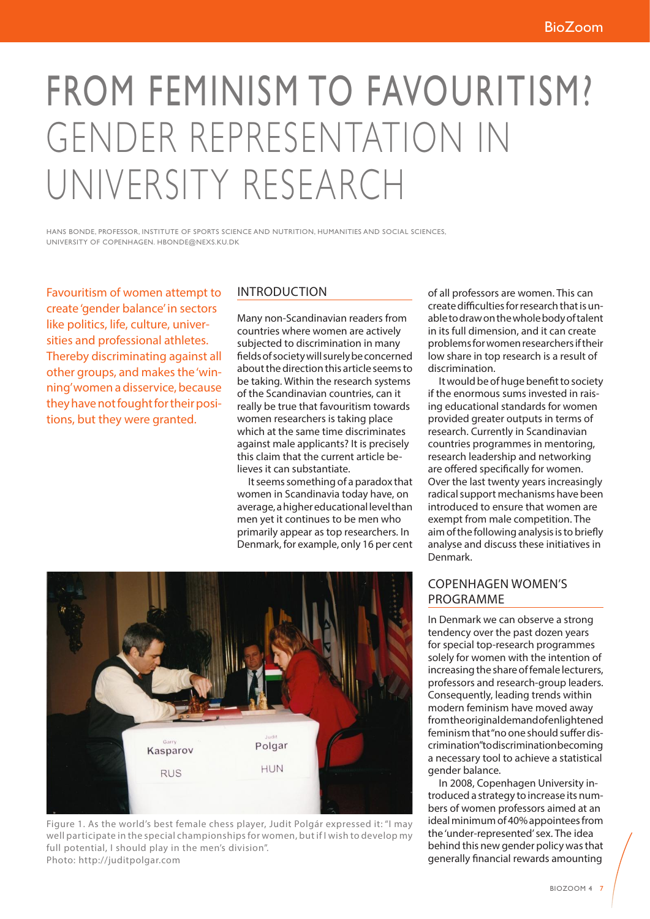# FROM FEMINISM TO FAVOURITISM? GENDER REPRESENTATION IN UNIVERSITY RESEARCH

HANS BONDE, PROFESSOR, INSTITUTE OF SPORTS SCIENCE AND NUTRITION, HUMANITIES AND SOCIAL SCIENCES, UNIVERSITY OF COPENHAGEN. HBONDE@NEXS.KU.DK

Favouritism of women attempt to create 'gender balance' in sectors like politics, life, culture, universities and professional athletes. Thereby discriminating against all other groups, and makes the 'winning' women a disservice, because they have not fought for their positions, but they were granted.

### INTRODUCTION

Many non-Scandinavian readers from countries where women are actively subjected to discrimination in many fields of society will surely be concerned about the direction this article seems to be taking. Within the research systems of the Scandinavian countries, can it really be true that favouritism towards women researchers is taking place which at the same time discriminates against male applicants? It is precisely this claim that the current article believes it can substantiate.

It seems something of a paradox that women in Scandinavia today have, on average, a higher educational level than men yet it continues to be men who primarily appear as top researchers. In Denmark, for example, only 16 per cent

of all professors are women. This can create difficulties for research that is unable to draw on the whole body of talent in its full dimension, and it can create problems for women researchers if their low share in top research is a result of discrimination.

It would be of huge benefit to society if the enormous sums invested in raising educational standards for women provided greater outputs in terms of research. Currently in Scandinavian countries programmes in mentoring, research leadership and networking are offered specifically for women. Over the last twenty years increasingly radical support mechanisms have been introduced to ensure that women are exempt from male competition. The aim of the following analysis is to briefly analyse and discuss these initiatives in Denmark.

### COPENHAGEN WOMEN'S PROGRAMME

In Denmark we can observe a strong tendency over the past dozen years for special top-research programmes solely for women with the intention of increasing the share of female lecturers, professors and research-group leaders. Consequently, leading trends within modern feminism have moved away from the original demand of enlightened feminism that "no one should suffer discrimination" to discrimination becoming a necessary tool to achieve a statistical gender balance.

In 2008, Copenhagen University introduced a strategy to increase its numbers of women professors aimed at an ideal minimum of 40% appointees from the 'under-represented' sex. The idea behind this new gender policy was that generally financial rewards amounting



Figure 1. As the world's best female chess player, Judit Polgár expressed it: "I may well participate in the special championships for women, but if I wish to develop my full potential, I should play in the men's division". Photo: http://juditpolgar.com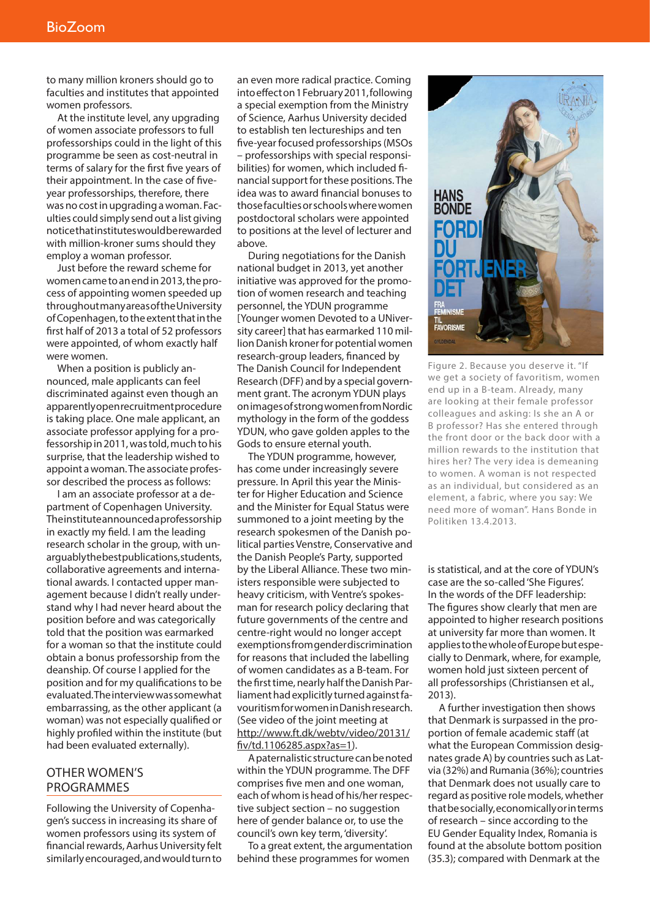to many million kroners should go to faculties and institutes that appointed women professors.

At the institute level, any upgrading of women associate professors to full professorships could in the light of this programme be seen as cost-neutral in terms of salary for the first five years of their appointment. In the case of fiveyear professorships, therefore, there was no cost in upgrading a woman. Faculties could simply send out a list giving notice that institutes would be rewarded with million-kroner sums should they employ a woman professor.

Just before the reward scheme for women came to an end in 2013, the process of appointing women speeded up throughout many areas of the University of Copenhagen, to the extent that in the first half of 2013 a total of 52 professors were appointed, of whom exactly half were women.

When a position is publicly announced, male applicants can feel discriminated against even though an apparently open recruitment procedure is taking place. One male applicant, an associate professor applying for a professorship in 2011, was told, much to his surprise, that the leadership wished to appoint a woman. The associate professor described the process as follows:

I am an associate professor at a department of Copenhagen University. The institute announced a professorship in exactly my field. I am the leading research scholar in the group, with unarguably the best publications, students, collaborative agreements and international awards. I contacted upper management because I didn't really understand why I had never heard about the position before and was categorically told that the position was earmarked for a woman so that the institute could obtain a bonus professorship from the deanship. Of course I applied for the position and for my qualifications to be evaluated. The interview was somewhat embarrassing, as the other applicant (a woman) was not especially qualified or highly profiled within the institute (but had been evaluated externally).

## OTHER WOMEN'S PROGRAMMES

Following the University of Copenhagen's success in increasing its share of women professors using its system of financial rewards, Aarhus University felt similarly encouraged, and would turn to

an even more radical practice. Coming into effect on 1 February 2011, following a special exemption from the Ministry of Science, Aarhus University decided to establish ten lectureships and ten five-year focused professorships (MSOs – professorships with special responsibilities) for women, which included financial support for these positions. The idea was to award financial bonuses to those faculties or schools where women postdoctoral scholars were appointed to positions at the level of lecturer and above.

During negotiations for the Danish national budget in 2013, yet another initiative was approved for the promotion of women research and teaching personnel, the YDUN programme [Younger women Devoted to a UNiversity career] that has earmarked 110 million Danish kroner for potential women research-group leaders, financed by The Danish Council for Independent Research (DFF) and by a special government grant. The acronym YDUN plays on images of strong women from Nordic mythology in the form of the goddess YDUN, who gave golden apples to the Gods to ensure eternal youth.

The YDUN programme, however, has come under increasingly severe pressure. In April this year the Minister for Higher Education and Science and the Minister for Equal Status were summoned to a joint meeting by the research spokesmen of the Danish political parties Venstre, Conservative and the Danish People's Party, supported by the Liberal Alliance. These two ministers responsible were subjected to heavy criticism, with Ventre's spokesman for research policy declaring that future governments of the centre and centre-right would no longer accept exemptions from gender discrimination for reasons that included the labelling of women candidates as a B-team. For the first time, nearly half the Danish Parliament had explicitly turned against favouritism for women in Danish research. (See video of the joint meeting at http://www.ft.dk/webtv/video/20131/ fiv/td.1106285.aspx?as=1).

A paternalistic structure can be noted within the YDUN programme. The DFF comprises five men and one woman, each of whom is head of his/her respective subject section – no suggestion here of gender balance or, to use the council's own key term, 'diversity'.

To a great extent, the argumentation behind these programmes for women



Figure 2. Because you deserve it. "If we get a society of favoritism, women end up in a B-team. Already, many are looking at their female professor colleagues and asking: Is she an A or B professor? Has she entered through the front door or the back door with a million rewards to the institution that hires her? The very idea is demeaning to women. A woman is not respected as an individual, but considered as an element, a fabric, where you say: We need more of woman". Hans Bonde in Politiken 13.4.2013.

is statistical, and at the core of YDUN's case are the so-called 'She Figures'. In the words of the DFF leadership: The figures show clearly that men are appointed to higher research positions at university far more than women. It applies to the whole of Europe but especially to Denmark, where, for example, women hold just sixteen percent of all professorships (Christiansen et al., 2013).

A further investigation then shows that Denmark is surpassed in the proportion of female academic staff (at what the European Commission designates grade A) by countries such as Latvia (32%) and Rumania (36%); countries that Denmark does not usually care to regard as positive role models, whether that be socially, economically or in terms of research – since according to the EU Gender Equality Index, Romania is found at the absolute bottom position (35.3); compared with Denmark at the